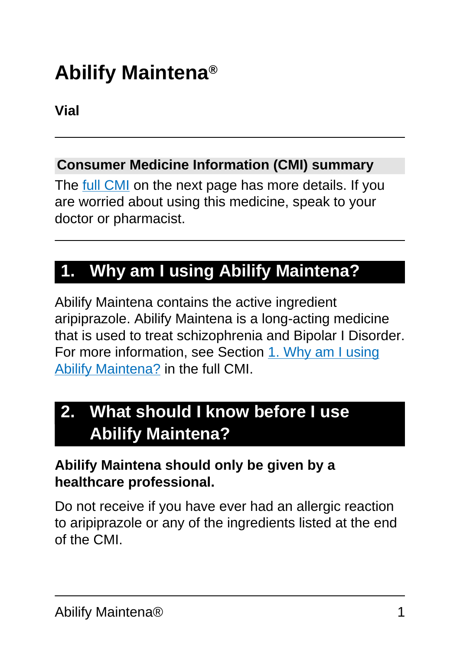# **Abilify Maintena®**

**Vial**

#### **Consumer Medicine Information (CMI) summary**

The [full CMI](#page-4-0) on the next page has more details. If you are worried about using this medicine, speak to your doctor or pharmacist.

# **1. Why am I using Abilify Maintena?**

Abilify Maintena contains the active ingredient aripiprazole. Abilify Maintena is a long-acting medicine that is used to treat schizophrenia and Bipolar I Disorder. For more information, see Section [1. Why am I using](#page-4-1) [Abilify Maintena?](#page-4-1) in the full CMI.

# **2. What should I know before I use Abilify Maintena?**

#### **Abilify Maintena should only be given by a healthcare professional.**

Do not receive if you have ever had an allergic reaction to aripiprazole or any of the ingredients listed at the end of the CMI.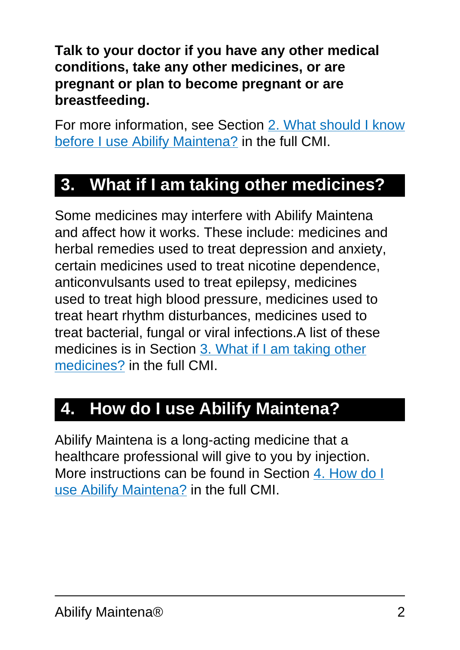**Talk to your doctor if you have any other medical conditions, take any other medicines, or are pregnant or plan to become pregnant or are breastfeeding.**

For more information, see Section [2. What should I know](#page-5-0) [before I use Abilify Maintena?](#page-5-0) in the full CMI.

### **3. What if I am taking other medicines?**

Some medicines may interfere with Abilify Maintena and affect how it works. These include: medicines and herbal remedies used to treat depression and anxiety, certain medicines used to treat nicotine dependence, anticonvulsants used to treat epilepsy, medicines used to treat high blood pressure, medicines used to treat heart rhythm disturbances, medicines used to treat bacterial, fungal or viral infections.A list of these medicines is in Section [3. What if I am taking other](#page-9-0) [medicines?](#page-9-0) in the full CMI.

# **4. How do I use Abilify Maintena?**

Abilify Maintena is a long-acting medicine that a healthcare professional will give to you by injection. More instructions can be found in Section [4. How do I](#page-9-1) [use Abilify Maintena?](#page-9-1) in the full CMI.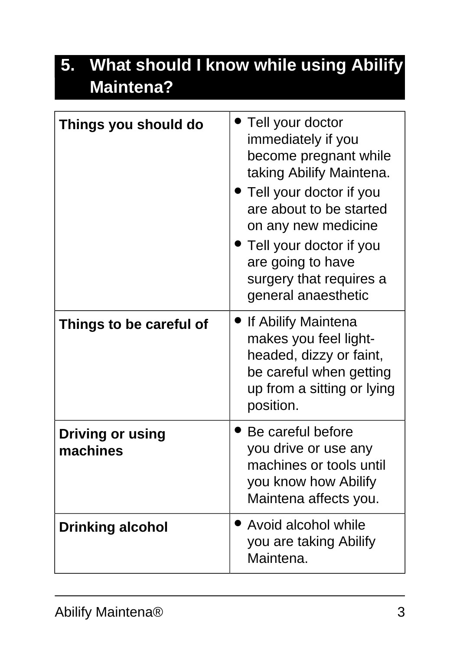# **5. What should I know while using Abilify Maintena?**

| Things you should do                | Tell your doctor<br>immediately if you<br>become pregnant while<br>taking Abilify Maintena.<br>Tell your doctor if you<br>are about to be started<br>on any new medicine<br>Tell your doctor if you<br>are going to have<br>surgery that requires a<br>general anaesthetic |
|-------------------------------------|----------------------------------------------------------------------------------------------------------------------------------------------------------------------------------------------------------------------------------------------------------------------------|
| Things to be careful of             | If Abilify Maintena<br>makes you feel light-<br>headed, dizzy or faint,<br>be careful when getting<br>up from a sitting or lying<br>position.                                                                                                                              |
| <b>Driving or using</b><br>machines | Be careful before<br>you drive or use any<br>machines or tools until<br>you know how Abilify<br>Maintena affects you.                                                                                                                                                      |
| <b>Drinking alcohol</b>             | • Avoid alcohol while<br>you are taking Abilify<br>Maintena.                                                                                                                                                                                                               |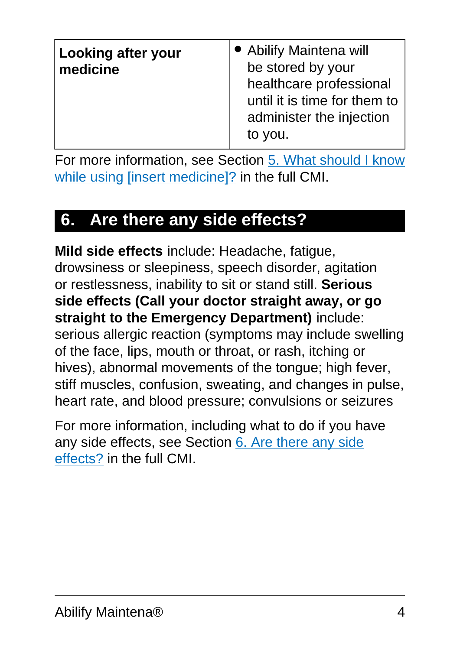| <b>Looking after your</b><br>medicine | • Abilify Maintena will<br>be stored by your<br>healthcare professional<br>until it is time for them to<br>administer the injection<br>to you. |
|---------------------------------------|------------------------------------------------------------------------------------------------------------------------------------------------|
|---------------------------------------|------------------------------------------------------------------------------------------------------------------------------------------------|

For more information, see Section [5. What should I know](#page-12-0) [while using \[insert medicine\]?](#page-12-0) in the full CMI.

# **6. Are there any side effects?**

**Mild side effects** include: Headache, fatigue, drowsiness or sleepiness, speech disorder, agitation or restlessness, inability to sit or stand still. **Serious side effects (Call your doctor straight away, or go straight to the Emergency Department)** include: serious allergic reaction (symptoms may include swelling of the face, lips, mouth or throat, or rash, itching or hives), abnormal movements of the tongue; high fever, stiff muscles, confusion, sweating, and changes in pulse, heart rate, and blood pressure; convulsions or seizures

For more information, including what to do if you have any side effects, see Section [6. Are there any side](#page-15-0) [effects?](#page-15-0) in the full CMI.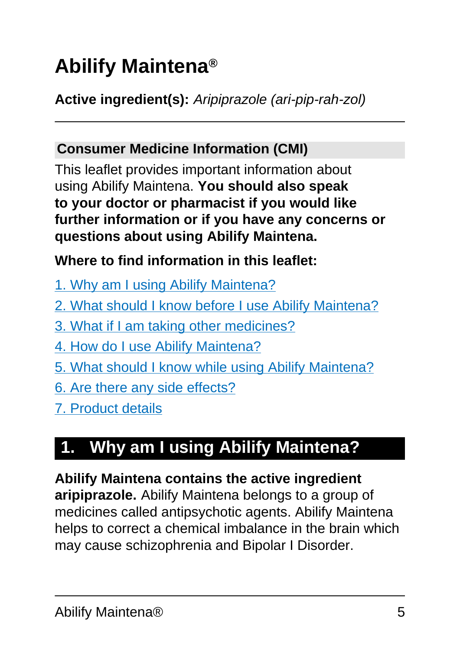# <span id="page-4-0"></span>**Abilify Maintena®**

**Active ingredient(s):** Aripiprazole (ari-pip-rah-zol)

#### **Consumer Medicine Information (CMI)**

This leaflet provides important information about using Abilify Maintena. **You should also speak to your doctor or pharmacist if you would like further information or if you have any concerns or questions about using Abilify Maintena.**

#### **Where to find information in this leaflet:**

- [1. Why am I using Abilify Maintena?](#page-4-1)
- [2. What should I know before I use Abilify Maintena?](#page-5-0)
- [3. What if I am taking other medicines?](#page-9-0)
- [4. How do I use Abilify Maintena?](#page-9-1)
- [5. What should I know while using Abilify Maintena?](#page-12-0)
- [6. Are there any side effects?](#page-15-0)
- [7. Product details](#page-22-0)

# <span id="page-4-1"></span>**1. Why am I using Abilify Maintena?**

# **Abilify Maintena contains the active ingredient**

**aripiprazole.** Abilify Maintena belongs to a group of medicines called antipsychotic agents. Abilify Maintena helps to correct a chemical imbalance in the brain which may cause schizophrenia and Bipolar I Disorder.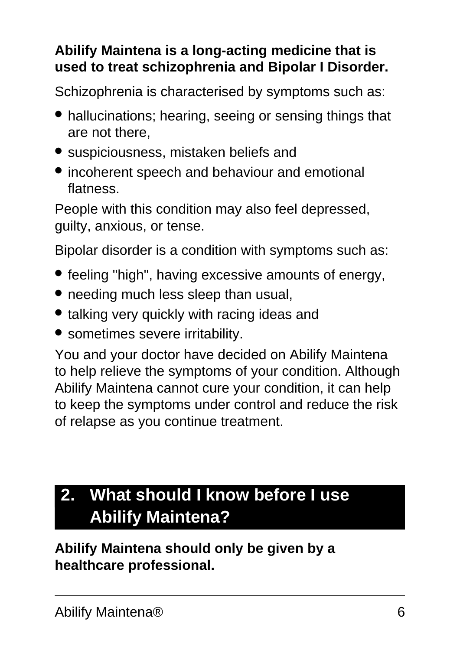#### **Abilify Maintena is a long-acting medicine that is used to treat schizophrenia and Bipolar I Disorder.**

Schizophrenia is characterised by symptoms such as:

- hallucinations; hearing, seeing or sensing things that are not there,
- suspiciousness, mistaken beliefs and
- incoherent speech and behaviour and emotional flatness.

People with this condition may also feel depressed, guilty, anxious, or tense.

Bipolar disorder is a condition with symptoms such as:

- feeling "high", having excessive amounts of energy,
- needing much less sleep than usual,
- talking very quickly with racing ideas and
- sometimes severe irritability.

You and your doctor have decided on Abilify Maintena to help relieve the symptoms of your condition. Although Abilify Maintena cannot cure your condition, it can help to keep the symptoms under control and reduce the risk of relapse as you continue treatment.

# <span id="page-5-0"></span>**2. What should I know before I use Abilify Maintena?**

**Abilify Maintena should only be given by a healthcare professional.**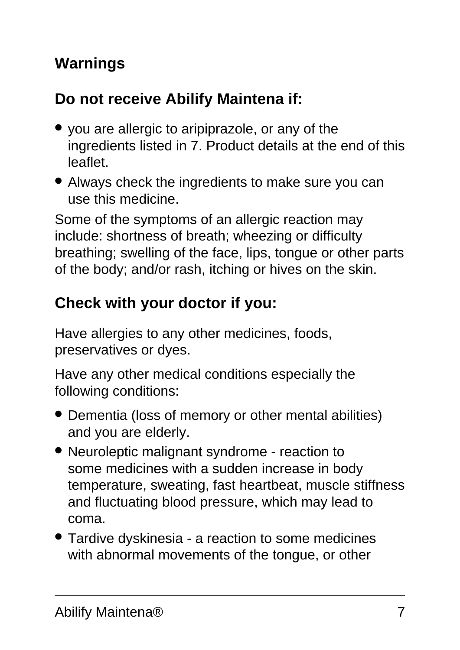### **Warnings**

### **Do not receive Abilify Maintena if:**

- you are allergic to aripiprazole, or any of the ingredients listed in 7. Product details at the end of this leaflet.
- Always check the ingredients to make sure you can use this medicine.

Some of the symptoms of an allergic reaction may include: shortness of breath; wheezing or difficulty breathing; swelling of the face, lips, tongue or other parts of the body; and/or rash, itching or hives on the skin.

# **Check with your doctor if you:**

Have allergies to any other medicines, foods, preservatives or dyes.

Have any other medical conditions especially the following conditions:

- Dementia (loss of memory or other mental abilities) and you are elderly.
- Neuroleptic malignant syndrome reaction to some medicines with a sudden increase in body temperature, sweating, fast heartbeat, muscle stiffness and fluctuating blood pressure, which may lead to coma.
- Tardive dyskinesia a reaction to some medicines with abnormal movements of the tongue, or other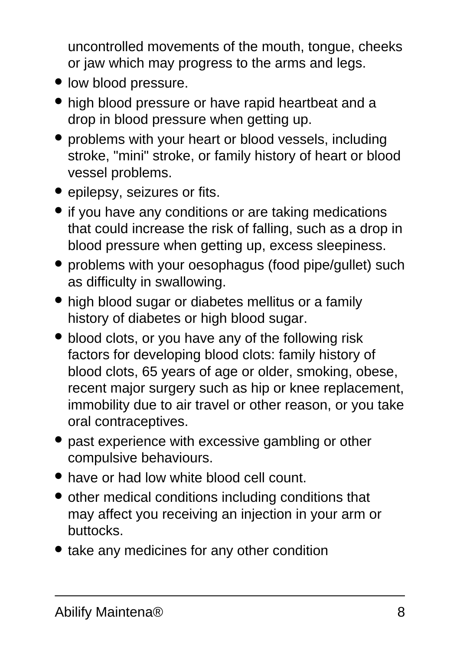uncontrolled movements of the mouth, tongue, cheeks or jaw which may progress to the arms and legs.

- low blood pressure.
- high blood pressure or have rapid heartbeat and a drop in blood pressure when getting up.
- problems with your heart or blood vessels, including stroke, "mini" stroke, or family history of heart or blood vessel problems.
- epilepsy, seizures or fits.
- if you have any conditions or are taking medications that could increase the risk of falling, such as a drop in blood pressure when getting up, excess sleepiness.
- problems with your oesophagus (food pipe/gullet) such as difficulty in swallowing.
- high blood sugar or diabetes mellitus or a family history of diabetes or high blood sugar.
- blood clots, or you have any of the following risk factors for developing blood clots: family history of blood clots, 65 years of age or older, smoking, obese, recent major surgery such as hip or knee replacement, immobility due to air travel or other reason, or you take oral contraceptives.
- past experience with excessive gambling or other compulsive behaviours.
- have or had low white blood cell count.
- other medical conditions including conditions that may affect you receiving an injection in your arm or buttocks.
- take any medicines for any other condition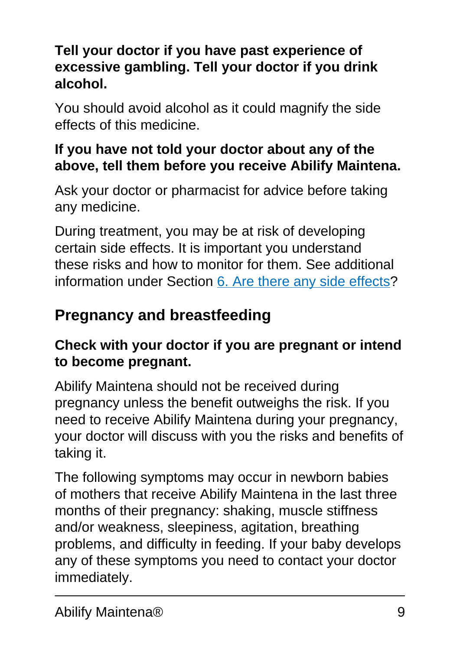#### **Tell your doctor if you have past experience of excessive gambling. Tell your doctor if you drink alcohol.**

You should avoid alcohol as it could magnify the side effects of this medicine.

#### **If you have not told your doctor about any of the above, tell them before you receive Abilify Maintena.**

Ask your doctor or pharmacist for advice before taking any medicine.

During treatment, you may be at risk of developing certain side effects. It is important you understand these risks and how to monitor for them. See additional information under Section [6. Are there any side effects](#page-15-0)?

### **Pregnancy and breastfeeding**

#### **Check with your doctor if you are pregnant or intend to become pregnant.**

Abilify Maintena should not be received during pregnancy unless the benefit outweighs the risk. If you need to receive Abilify Maintena during your pregnancy, your doctor will discuss with you the risks and benefits of taking it.

The following symptoms may occur in newborn babies of mothers that receive Abilify Maintena in the last three months of their pregnancy: shaking, muscle stiffness and/or weakness, sleepiness, agitation, breathing problems, and difficulty in feeding. If your baby develops any of these symptoms you need to contact your doctor immediately.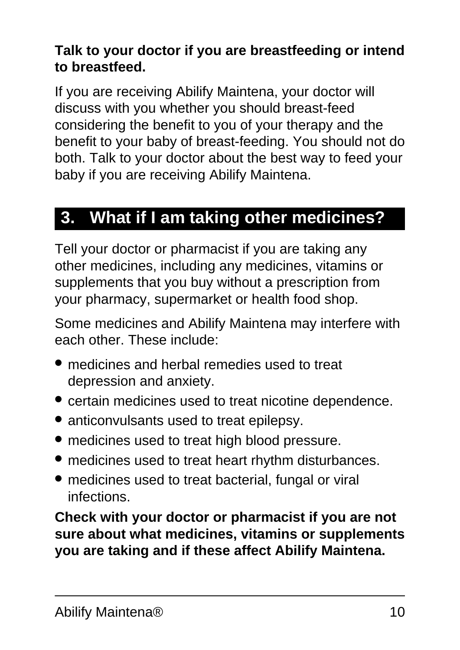#### **Talk to your doctor if you are breastfeeding or intend to breastfeed.**

If you are receiving Abilify Maintena, your doctor will discuss with you whether you should breast-feed considering the benefit to you of your therapy and the benefit to your baby of breast-feeding. You should not do both. Talk to your doctor about the best way to feed your baby if you are receiving Abilify Maintena.

### <span id="page-9-0"></span>**3. What if I am taking other medicines?**

Tell your doctor or pharmacist if you are taking any other medicines, including any medicines, vitamins or supplements that you buy without a prescription from your pharmacy, supermarket or health food shop.

Some medicines and Abilify Maintena may interfere with each other. These include:

- medicines and herbal remedies used to treat depression and anxiety.
- certain medicines used to treat nicotine dependence.
- anticonvulsants used to treat epilepsy.
- medicines used to treat high blood pressure.
- medicines used to treat heart rhythm disturbances.
- medicines used to treat bacterial, fungal or viral infections.

<span id="page-9-1"></span>**Check with your doctor or pharmacist if you are not sure about what medicines, vitamins or supplements you are taking and if these affect Abilify Maintena.**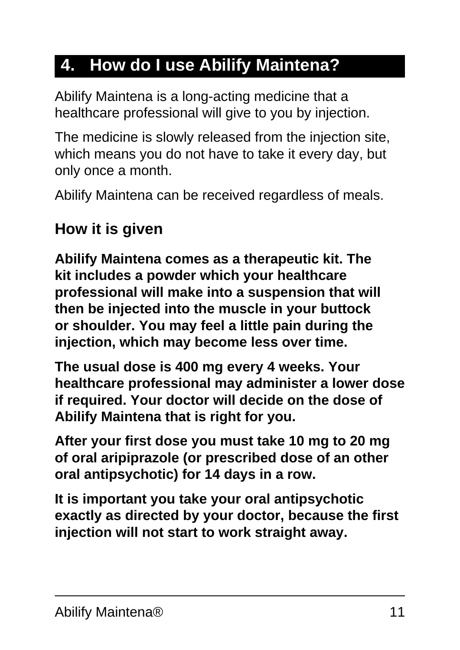# **4. How do I use Abilify Maintena?**

Abilify Maintena is a long-acting medicine that a healthcare professional will give to you by injection.

The medicine is slowly released from the injection site, which means you do not have to take it every day, but only once a month.

Abilify Maintena can be received regardless of meals.

#### **How it is given**

**Abilify Maintena comes as a therapeutic kit. The kit includes a powder which your healthcare professional will make into a suspension that will then be injected into the muscle in your buttock or shoulder. You may feel a little pain during the injection, which may become less over time.**

**The usual dose is 400 mg every 4 weeks. Your healthcare professional may administer a lower dose if required. Your doctor will decide on the dose of Abilify Maintena that is right for you.**

**After your first dose you must take 10 mg to 20 mg of oral aripiprazole (or prescribed dose of an other oral antipsychotic) for 14 days in a row.**

**It is important you take your oral antipsychotic exactly as directed by your doctor, because the first injection will not start to work straight away.**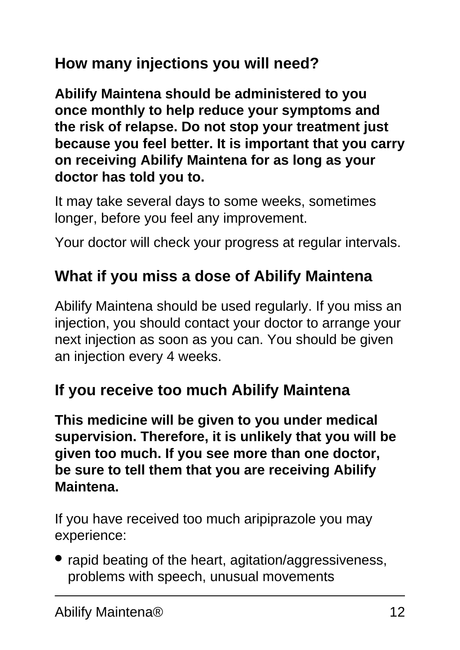### **How many injections you will need?**

**Abilify Maintena should be administered to you once monthly to help reduce your symptoms and the risk of relapse. Do not stop your treatment just because you feel better. It is important that you carry on receiving Abilify Maintena for as long as your doctor has told you to.**

It may take several days to some weeks, sometimes longer, before you feel any improvement.

Your doctor will check your progress at regular intervals.

### **What if you miss a dose of Abilify Maintena**

Abilify Maintena should be used regularly. If you miss an injection, you should contact your doctor to arrange your next injection as soon as you can. You should be given an injection every 4 weeks.

### **If you receive too much Abilify Maintena**

**This medicine will be given to you under medical supervision. Therefore, it is unlikely that you will be given too much. If you see more than one doctor, be sure to tell them that you are receiving Abilify Maintena.**

If you have received too much aripiprazole you may experience:

• rapid beating of the heart, agitation/aggressiveness, problems with speech, unusual movements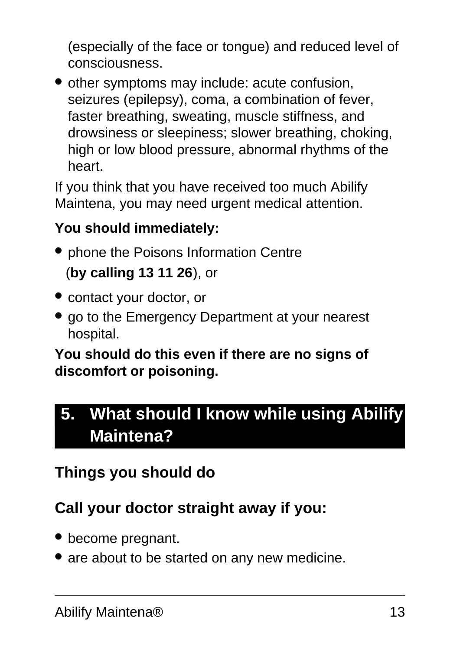(especially of the face or tongue) and reduced level of consciousness.

• other symptoms may include: acute confusion, seizures (epilepsy), coma, a combination of fever, faster breathing, sweating, muscle stiffness, and drowsiness or sleepiness; slower breathing, choking, high or low blood pressure, abnormal rhythms of the heart.

If you think that you have received too much Abilify Maintena, you may need urgent medical attention.

#### **You should immediately:**

- phone the Poisons Information Centre (**by calling 13 11 26**), or
- contact your doctor, or
- go to the Emergency Department at your nearest hospital.

#### **You should do this even if there are no signs of discomfort or poisoning.**

# <span id="page-12-0"></span>**5. What should I know while using Abilify Maintena?**

### **Things you should do**

# **Call your doctor straight away if you:**

- become pregnant.
- are about to be started on any new medicine.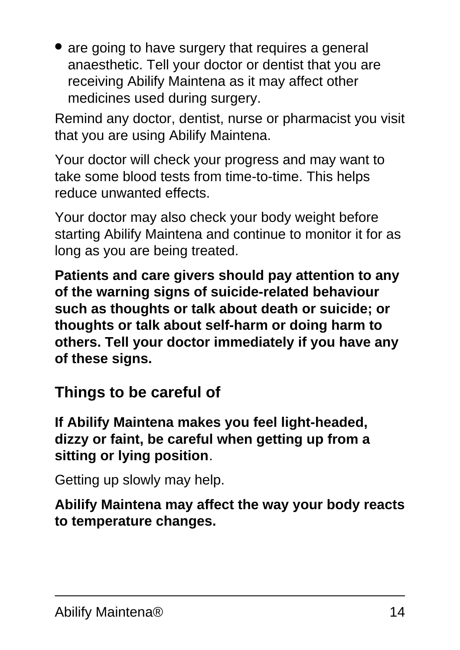• are going to have surgery that requires a general anaesthetic. Tell your doctor or dentist that you are receiving Abilify Maintena as it may affect other medicines used during surgery.

Remind any doctor, dentist, nurse or pharmacist you visit that you are using Abilify Maintena.

Your doctor will check your progress and may want to take some blood tests from time-to-time. This helps reduce unwanted effects.

Your doctor may also check your body weight before starting Abilify Maintena and continue to monitor it for as long as you are being treated.

**Patients and care givers should pay attention to any of the warning signs of suicide-related behaviour such as thoughts or talk about death or suicide; or thoughts or talk about self-harm or doing harm to others. Tell your doctor immediately if you have any of these signs.**

#### **Things to be careful of**

**If Abilify Maintena makes you feel light-headed, dizzy or faint, be careful when getting up from a sitting or lying position**.

Getting up slowly may help.

**Abilify Maintena may affect the way your body reacts to temperature changes.**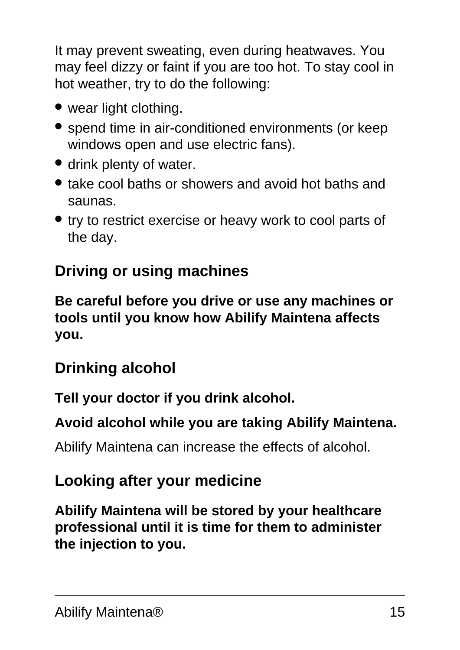It may prevent sweating, even during heatwaves. You may feel dizzy or faint if you are too hot. To stay cool in hot weather, try to do the following:

- wear light clothing.
- spend time in air-conditioned environments (or keep windows open and use electric fans).
- drink plenty of water.
- take cool baths or showers and avoid hot baths and saunas.
- try to restrict exercise or heavy work to cool parts of the day.

### **Driving or using machines**

**Be careful before you drive or use any machines or tools until you know how Abilify Maintena affects you.**

### **Drinking alcohol**

**Tell your doctor if you drink alcohol.**

#### **Avoid alcohol while you are taking Abilify Maintena.**

Abilify Maintena can increase the effects of alcohol.

#### **Looking after your medicine**

**Abilify Maintena will be stored by your healthcare professional until it is time for them to administer the injection to you.**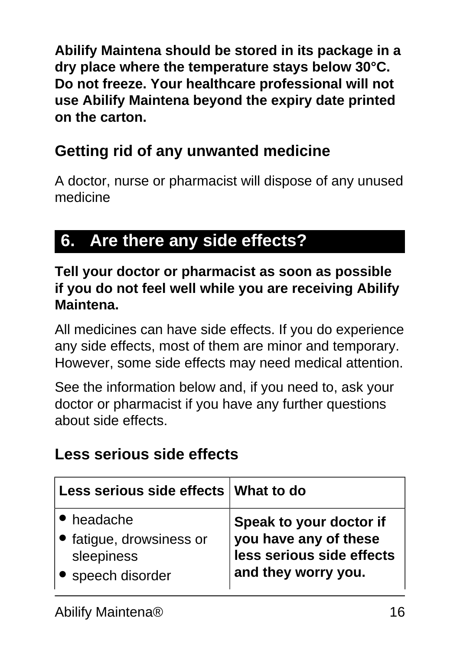**Abilify Maintena should be stored in its package in a dry place where the temperature stays below 30°C. Do not freeze. Your healthcare professional will not use Abilify Maintena beyond the expiry date printed on the carton.**

### **Getting rid of any unwanted medicine**

A doctor, nurse or pharmacist will dispose of any unused medicine

# <span id="page-15-0"></span>**6. Are there any side effects?**

**Tell your doctor or pharmacist as soon as possible if you do not feel well while you are receiving Abilify Maintena.**

All medicines can have side effects. If you do experience any side effects, most of them are minor and temporary. However, some side effects may need medical attention.

See the information below and, if you need to, ask your doctor or pharmacist if you have any further questions about side effects.

#### **Less serious side effects**

| Less serious side effects What to do |                           |
|--------------------------------------|---------------------------|
| • headache                           | Speak to your doctor if   |
| • fatigue, drowsiness or             | you have any of these     |
| sleepiness                           | less serious side effects |
| • speech disorder                    | and they worry you.       |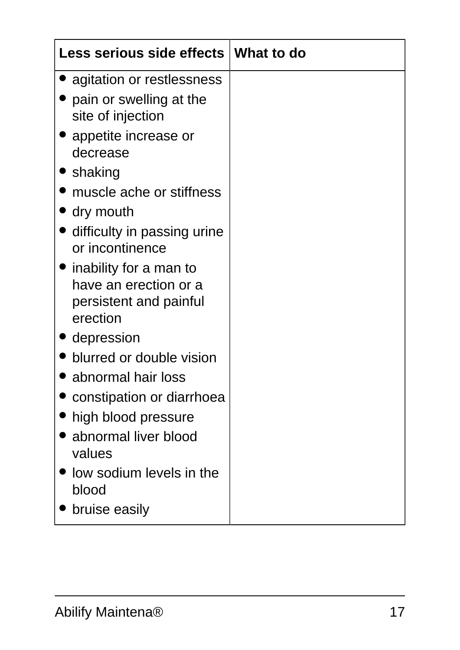| Less serious side effects   What to do                                                          |  |
|-------------------------------------------------------------------------------------------------|--|
| agitation or restlessness                                                                       |  |
| pain or swelling at the<br>site of injection                                                    |  |
| appetite increase or<br>decrease                                                                |  |
| <b>Shaking</b>                                                                                  |  |
| muscle ache or stiffness                                                                        |  |
| dry mouth                                                                                       |  |
| difficulty in passing urine<br>or incontinence                                                  |  |
| $\bullet$ inability for a man to<br>have an erection or a<br>persistent and painful<br>erection |  |
| depression                                                                                      |  |
| blurred or double vision                                                                        |  |
| abnormal hair loss                                                                              |  |
| constipation or diarrhoea                                                                       |  |
| high blood pressure                                                                             |  |
| abnormal liver blood<br>values                                                                  |  |
| low sodium levels in the<br>blood                                                               |  |
| bruise easily                                                                                   |  |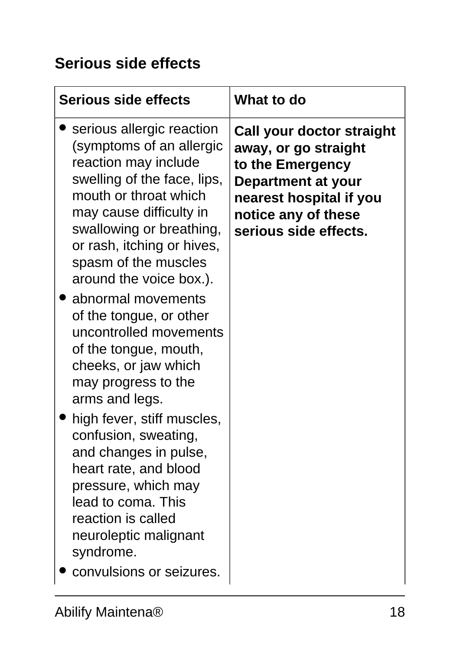### **Serious side effects**

| <b>Serious side effects</b>                                                                                                                                                                                                                                                                                                                                                                                                                                                                                                                                                                                                                                                                     | <b>What to do</b>                                                                                                                                                      |
|-------------------------------------------------------------------------------------------------------------------------------------------------------------------------------------------------------------------------------------------------------------------------------------------------------------------------------------------------------------------------------------------------------------------------------------------------------------------------------------------------------------------------------------------------------------------------------------------------------------------------------------------------------------------------------------------------|------------------------------------------------------------------------------------------------------------------------------------------------------------------------|
| serious allergic reaction<br>(symptoms of an allergic<br>reaction may include<br>swelling of the face, lips,<br>mouth or throat which<br>may cause difficulty in<br>swallowing or breathing,<br>or rash, itching or hives,<br>spasm of the muscles<br>around the voice box.).<br>abnormal movements<br>of the tongue, or other<br>uncontrolled movements<br>of the tongue, mouth,<br>cheeks, or jaw which<br>may progress to the<br>arms and legs.<br>high fever, stiff muscles,<br>confusion, sweating,<br>and changes in pulse,<br>heart rate, and blood<br>pressure, which may<br>lead to coma. This<br>reaction is called<br>neuroleptic malignant<br>syndrome.<br>convulsions or seizures. | Call your doctor straight<br>away, or go straight<br>to the Emergency<br>Department at your<br>nearest hospital if you<br>notice any of these<br>serious side effects. |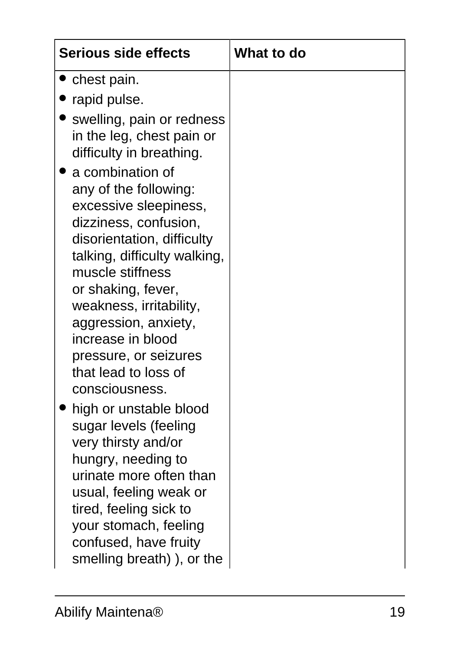| <b>Serious side effects</b>                                                                                                                                                                                                                                                                                                                                                                                                          | <b>What to do</b> |
|--------------------------------------------------------------------------------------------------------------------------------------------------------------------------------------------------------------------------------------------------------------------------------------------------------------------------------------------------------------------------------------------------------------------------------------|-------------------|
| chest pain.                                                                                                                                                                                                                                                                                                                                                                                                                          |                   |
| rapid pulse.                                                                                                                                                                                                                                                                                                                                                                                                                         |                   |
| swelling, pain or redness<br>in the leg, chest pain or<br>difficulty in breathing.<br>a combination of<br>any of the following:<br>excessive sleepiness,<br>dizziness, confusion,<br>disorientation, difficulty<br>talking, difficulty walking,<br>muscle stiffness<br>or shaking, fever,<br>weakness, irritability,<br>aggression, anxiety,<br>increase in blood<br>pressure, or seizures<br>that lead to loss of<br>consciousness. |                   |
| high or unstable blood<br>sugar levels (feeling<br>very thirsty and/or<br>hungry, needing to<br>urinate more often than<br>usual, feeling weak or<br>tired, feeling sick to<br>your stomach, feeling<br>confused, have fruity<br>smelling breath)), or the                                                                                                                                                                           |                   |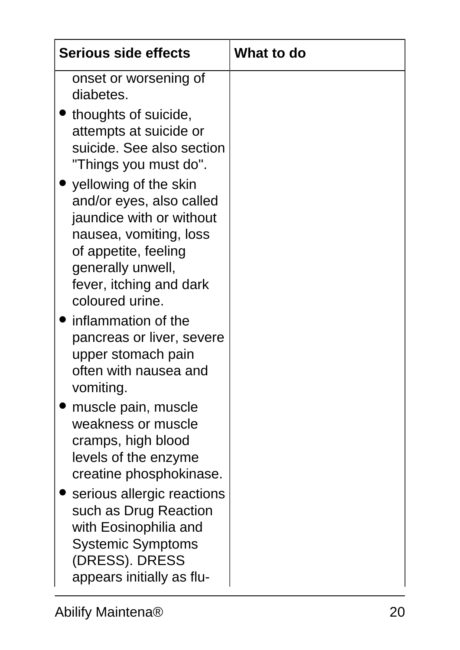| <b>Serious side effects</b>                                                                                                                                                                                                                                                                                                                                                                                                                                                                                                                                 | <b>What to do</b> |
|-------------------------------------------------------------------------------------------------------------------------------------------------------------------------------------------------------------------------------------------------------------------------------------------------------------------------------------------------------------------------------------------------------------------------------------------------------------------------------------------------------------------------------------------------------------|-------------------|
| onset or worsening of<br>diabetes.<br>thoughts of suicide,<br>attempts at suicide or<br>suicide. See also section<br>"Things you must do".<br>yellowing of the skin<br>and/or eyes, also called<br>jaundice with or without<br>nausea, vomiting, loss<br>of appetite, feeling<br>generally unwell,<br>fever, itching and dark<br>coloured urine.<br>inflammation of the<br>pancreas or liver, severe<br>upper stomach pain<br>often with nausea and<br>vomiting.<br>muscle pain, muscle<br>weakness or muscle<br>cramps, high blood<br>levels of the enzyme |                   |
| creatine phosphokinase.<br>serious allergic reactions<br>such as Drug Reaction<br>with Eosinophilia and<br><b>Systemic Symptoms</b><br>(DRESS). DRESS<br>appears initially as flu-                                                                                                                                                                                                                                                                                                                                                                          |                   |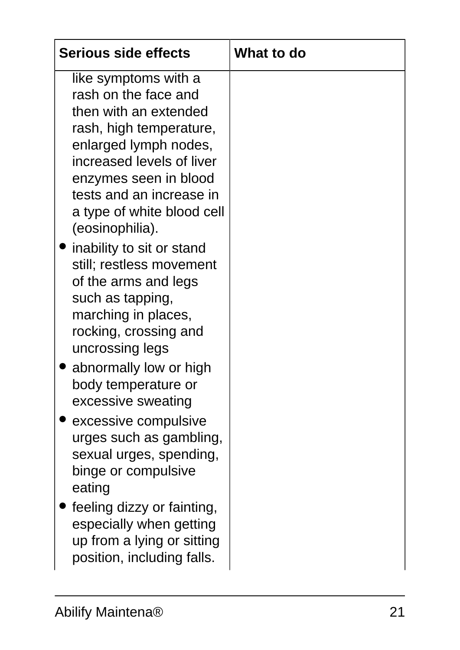| <b>Serious side effects</b>                                                                                                                                                                                                                                                                                                                                                                                                                                                                                                                                                                                                | What to do |
|----------------------------------------------------------------------------------------------------------------------------------------------------------------------------------------------------------------------------------------------------------------------------------------------------------------------------------------------------------------------------------------------------------------------------------------------------------------------------------------------------------------------------------------------------------------------------------------------------------------------------|------------|
| like symptoms with a<br>rash on the face and<br>then with an extended<br>rash, high temperature,<br>enlarged lymph nodes,<br>increased levels of liver<br>enzymes seen in blood<br>tests and an increase in<br>a type of white blood cell<br>(eosinophilia).<br>inability to sit or stand<br>still; restless movement<br>of the arms and legs<br>such as tapping,<br>marching in places,<br>rocking, crossing and<br>uncrossing legs<br>abnormally low or high<br>body temperature or<br>excessive sweating<br>excessive compulsive<br>urges such as gambling,<br>sexual urges, spending,<br>binge or compulsive<br>eating |            |
| feeling dizzy or fainting,<br>especially when getting<br>up from a lying or sitting<br>position, including falls.                                                                                                                                                                                                                                                                                                                                                                                                                                                                                                          |            |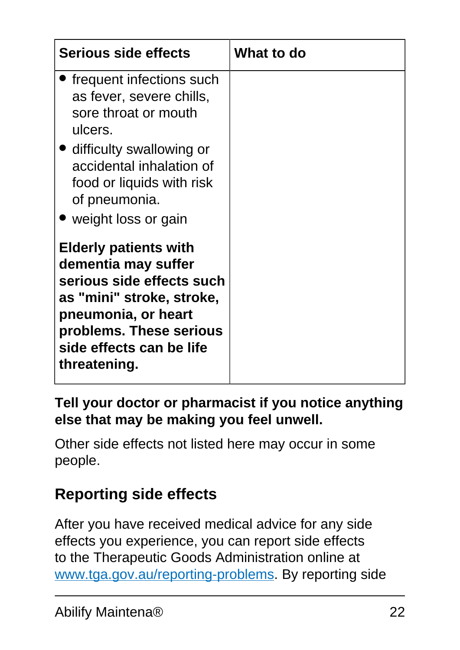| <b>Serious side effects</b>                                                                                                                                                                                 | What to do |
|-------------------------------------------------------------------------------------------------------------------------------------------------------------------------------------------------------------|------------|
| ' frequent infections such<br>as fever, severe chills,<br>sore throat or mouth<br>ulcers.<br>• difficulty swallowing or                                                                                     |            |
| accidental inhalation of<br>food or liquids with risk<br>of pneumonia.<br>• weight loss or gain                                                                                                             |            |
| <b>Elderly patients with</b><br>dementia may suffer<br>serious side effects such<br>as "mini" stroke, stroke,<br>pneumonia, or heart<br>problems. These serious<br>side effects can be life<br>threatening. |            |

#### **Tell your doctor or pharmacist if you notice anything else that may be making you feel unwell.**

Other side effects not listed here may occur in some people.

### **Reporting side effects**

After you have received medical advice for any side effects you experience, you can report side effects to the Therapeutic Goods Administration online at [www.tga.gov.au/reporting-problems.](http://www.tga.gov.au/reporting-problems) By reporting side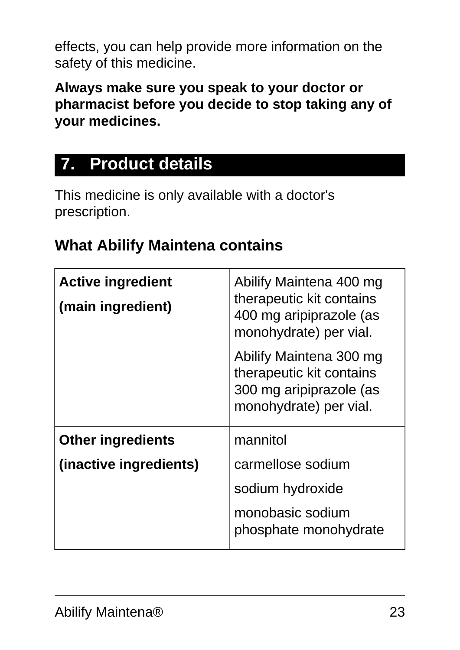effects, you can help provide more information on the safety of this medicine.

**Always make sure you speak to your doctor or pharmacist before you decide to stop taking any of your medicines.**

# <span id="page-22-0"></span>**7. Product details**

This medicine is only available with a doctor's prescription.

### **What Abilify Maintena contains**

| <b>Active ingredient</b><br>(main ingredient) | Abilify Maintena 400 mg<br>therapeutic kit contains<br>400 mg aripiprazole (as<br>monohydrate) per vial. |
|-----------------------------------------------|----------------------------------------------------------------------------------------------------------|
|                                               | Abilify Maintena 300 mg<br>therapeutic kit contains<br>300 mg aripiprazole (as<br>monohydrate) per vial. |
| <b>Other ingredients</b>                      | mannitol                                                                                                 |
| (inactive ingredients)                        | carmellose sodium                                                                                        |
|                                               | sodium hydroxide                                                                                         |
|                                               | monobasic sodium<br>phosphate monohydrate                                                                |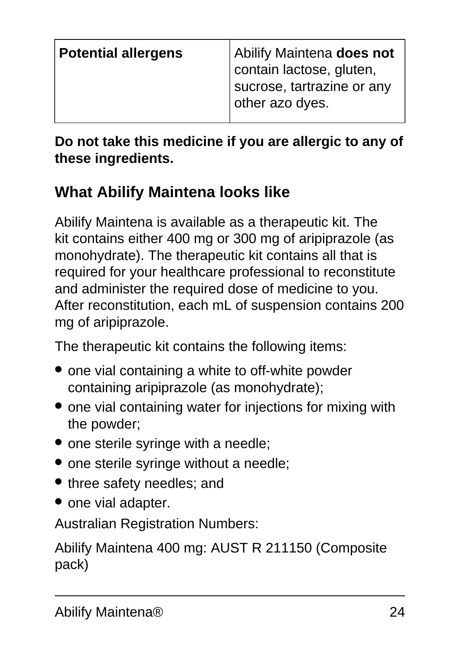| <b>Potential allergens</b> | Abilify Maintena does not  |
|----------------------------|----------------------------|
|                            | contain lactose, gluten,   |
|                            | sucrose, tartrazine or any |
|                            | other azo dyes.            |
|                            |                            |

**Do not take this medicine if you are allergic to any of these ingredients.**

#### **What Abilify Maintena looks like**

Abilify Maintena is available as a therapeutic kit. The kit contains either 400 mg or 300 mg of aripiprazole (as monohydrate). The therapeutic kit contains all that is required for your healthcare professional to reconstitute and administer the required dose of medicine to you. After reconstitution, each mL of suspension contains 200 mg of aripiprazole.

The therapeutic kit contains the following items:

- one vial containing a white to off-white powder containing aripiprazole (as monohydrate);
- one vial containing water for injections for mixing with the powder;
- one sterile syringe with a needle;
- one sterile syringe without a needle;
- three safety needles; and
- one vial adapter.

Australian Registration Numbers:

Abilify Maintena 400 mg: AUST R 211150 (Composite pack)